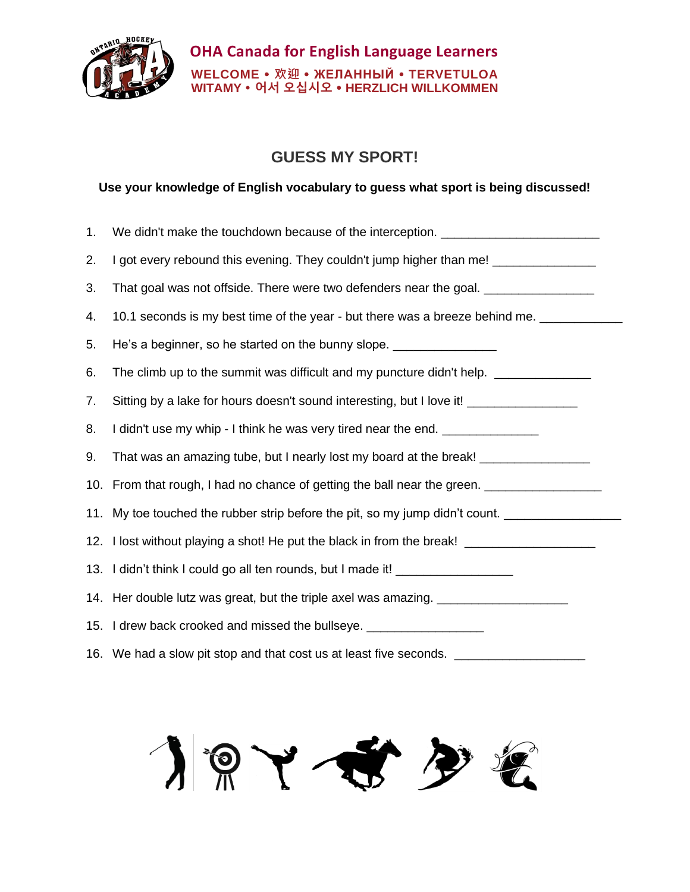

## **GUESS MY SPORT!**

## **Use your knowledge of English vocabulary to guess what sport is being discussed!**

| 1. | We didn't make the touchdown because of the interception. ______________________                    |
|----|-----------------------------------------------------------------------------------------------------|
| 2. | I got every rebound this evening. They couldn't jump higher than me! ________________               |
| 3. | That goal was not offside. There were two defenders near the goal. ______________                   |
| 4. | 10.1 seconds is my best time of the year - but there was a breeze behind me.                        |
| 5. | He's a beginner, so he started on the bunny slope. _____________________________                    |
| 6. | The climb up to the summit was difficult and my puncture didn't help. ___________                   |
| 7. | Sitting by a lake for hours doesn't sound interesting, but I love it! ________________              |
| 8. | I didn't use my whip - I think he was very tired near the end.                                      |
| 9. | That was an amazing tube, but I nearly lost my board at the break! _____________                    |
|    | 10. From that rough, I had no chance of getting the ball near the green. __________________________ |
|    | 11. My toe touched the rubber strip before the pit, so my jump didn't count.                        |
|    | 12. I lost without playing a shot! He put the black in from the break! ________________             |
|    | 13. I didn't think I could go all ten rounds, but I made it! ___________________                    |
|    | 14. Her double lutz was great, but the triple axel was amazing. ________________                    |
|    | 15. I drew back crooked and missed the bullseye. ____________________                               |
|    | 16. We had a slow pit stop and that cost us at least five seconds.                                  |